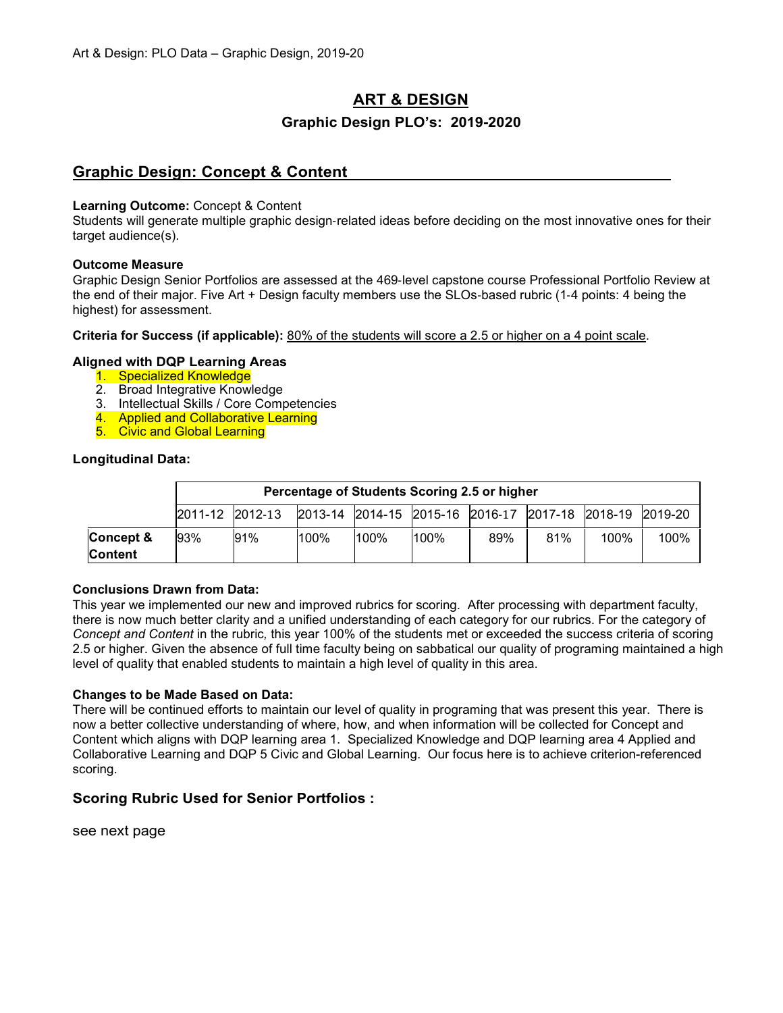# **ART & DESIGN**

# **Graphic Design PLO's: 2019-2020**

# **Graphic Design: Concept & Content**

#### **Learning Outcome:** Concept & Content

Students will generate multiple graphic design‐related ideas before deciding on the most innovative ones for their target audience(s).

#### **Outcome Measure**

Graphic Design Senior Portfolios are assessed at the 469‐level capstone course Professional Portfolio Review at the end of their major. Five Art + Design faculty members use the SLOs‐based rubric (1‐4 points: 4 being the highest) for assessment.

**Criteria for Success (if applicable):** 80% of the students will score a 2.5 or higher on a 4 point scale.

## **Aligned with DQP Learning Areas**

- 1. Specialized Knowledge
- 2. Broad Integrative Knowledge
- 3. Intellectual Skills / Core Competencies
- 4. Applied and Collaborative Learning
- 5. Civic and Global Learning

### **Longitudinal Data:**

|           |                 | Percentage of Students Scoring 2.5 or higher |      |      |         |                                                 |     |      |         |
|-----------|-----------------|----------------------------------------------|------|------|---------|-------------------------------------------------|-----|------|---------|
|           | 2011-12 2012-13 |                                              |      |      |         | 2013-14 2014-15 2015-16 2016-17 2017-18 2018-19 |     |      | 2019-20 |
| Concept & | 93%             | 91%                                          | 100% | 100% | $100\%$ | 89%                                             | 81% | 100% | 100%    |
| Content   |                 |                                              |      |      |         |                                                 |     |      |         |

#### **Conclusions Drawn from Data:**

This year we implemented our new and improved rubrics for scoring. After processing with department faculty, there is now much better clarity and a unified understanding of each category for our rubrics. For the category of *Concept and Content* in the rubric*,* this year 100% of the students met or exceeded the success criteria of scoring 2.5 or higher. Given the absence of full time faculty being on sabbatical our quality of programing maintained a high level of quality that enabled students to maintain a high level of quality in this area.

#### **Changes to be Made Based on Data:**

There will be continued efforts to maintain our level of quality in programing that was present this year. There is now a better collective understanding of where, how, and when information will be collected for Concept and Content which aligns with DQP learning area 1. Specialized Knowledge and DQP learning area 4 Applied and Collaborative Learning and DQP 5 Civic and Global Learning. Our focus here is to achieve criterion-referenced scoring.

## **Scoring Rubric Used for Senior Portfolios :**

see next page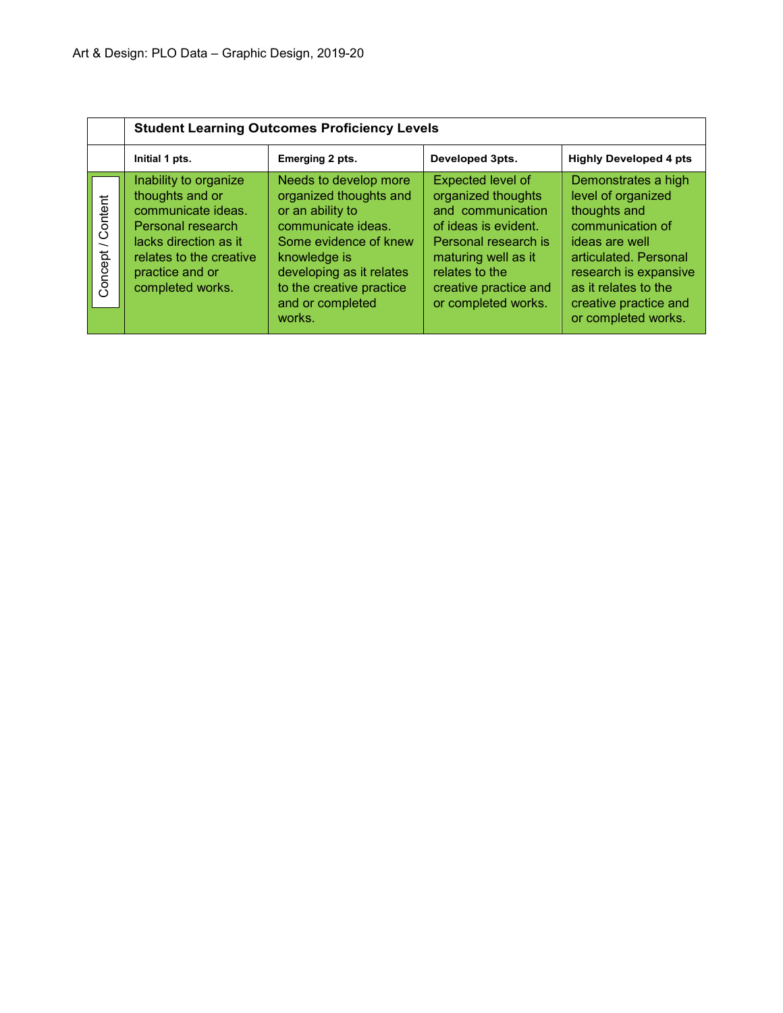|                                                | <b>Student Learning Outcomes Proficiency Levels</b>                                                                                                                            |                                                                                                                                                                                                                          |                                                                                                                                                                                                       |                                                                                                                                                                                                                           |  |  |  |  |  |  |
|------------------------------------------------|--------------------------------------------------------------------------------------------------------------------------------------------------------------------------------|--------------------------------------------------------------------------------------------------------------------------------------------------------------------------------------------------------------------------|-------------------------------------------------------------------------------------------------------------------------------------------------------------------------------------------------------|---------------------------------------------------------------------------------------------------------------------------------------------------------------------------------------------------------------------------|--|--|--|--|--|--|
|                                                | Initial 1 pts.                                                                                                                                                                 | Emerging 2 pts.                                                                                                                                                                                                          | Developed 3pts.                                                                                                                                                                                       | <b>Highly Developed 4 pts</b>                                                                                                                                                                                             |  |  |  |  |  |  |
| Content<br>$\overline{\phantom{0}}$<br>Concept | Inability to organize<br>thoughts and or<br>communicate ideas.<br>Personal research<br>lacks direction as it<br>relates to the creative<br>practice and or<br>completed works. | Needs to develop more<br>organized thoughts and<br>or an ability to<br>communicate ideas.<br>Some evidence of knew<br>knowledge is<br>developing as it relates<br>to the creative practice<br>and or completed<br>works. | Expected level of<br>organized thoughts<br>and communication<br>of ideas is evident.<br>Personal research is<br>maturing well as it<br>relates to the<br>creative practice and<br>or completed works. | Demonstrates a high<br>level of organized<br>thoughts and<br>communication of<br>ideas are well<br>articulated. Personal<br>research is expansive<br>as it relates to the<br>creative practice and<br>or completed works. |  |  |  |  |  |  |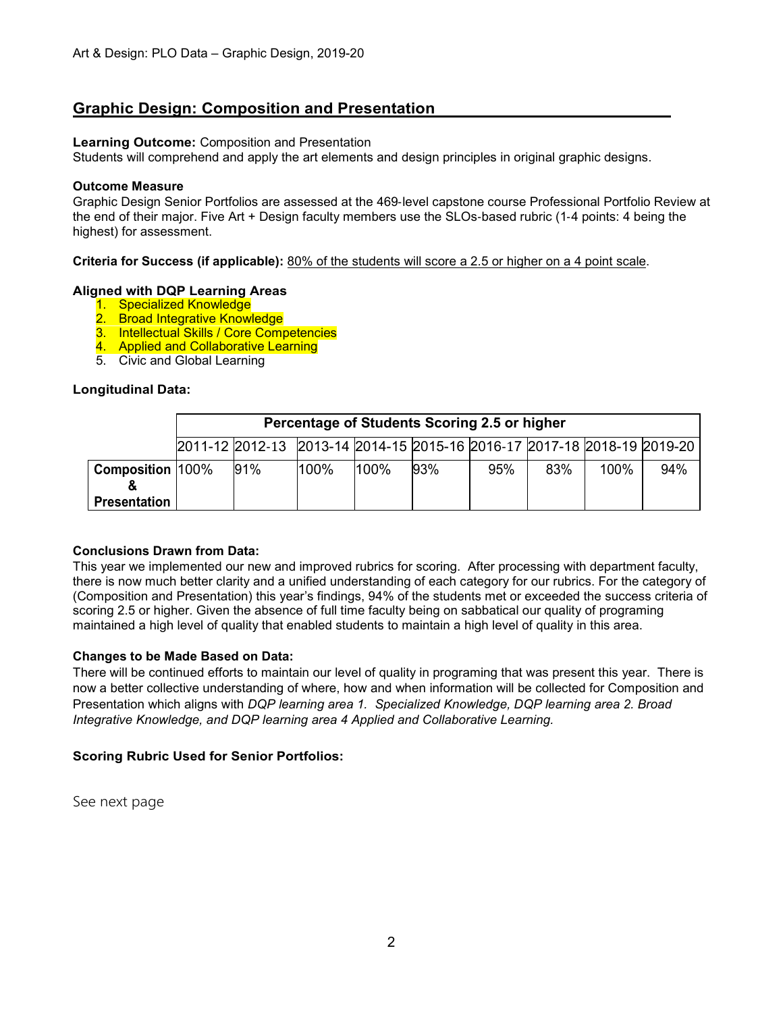# **Graphic Design: Composition and Presentation**

## **Learning Outcome:** Composition and Presentation

Students will comprehend and apply the art elements and design principles in original graphic designs.

## **Outcome Measure**

Graphic Design Senior Portfolios are assessed at the 469‐level capstone course Professional Portfolio Review at the end of their major. Five Art + Design faculty members use the SLOs‐based rubric (1‐4 points: 4 being the highest) for assessment.

**Criteria for Success (if applicable):** 80% of the students will score a 2.5 or higher on a 4 point scale.

## **Aligned with DQP Learning Areas**

- 1. Specialized Knowledge
- 2. Broad Integrative Knowledge
- 3. Intellectual Skills / Core Competencies
- 4. Applied and Collaborative Learning
- 5. Civic and Global Learning

## **Longitudinal Data:**

|                         | Percentage of Students Scoring 2.5 or higher |                                                                         |      |      |     |     |     |      |     |
|-------------------------|----------------------------------------------|-------------------------------------------------------------------------|------|------|-----|-----|-----|------|-----|
|                         |                                              | 2011-12 2012-13 2013-14 2014-15 2015-16 2016-17 2017-18 2018-19 2019-20 |      |      |     |     |     |      |     |
| <b>Composition 100%</b> |                                              | 91%                                                                     | 100% | 100% | 93% | 95% | 83% | 100% | 94% |
| <b>Presentation</b>     |                                              |                                                                         |      |      |     |     |     |      |     |

#### **Conclusions Drawn from Data:**

This year we implemented our new and improved rubrics for scoring. After processing with department faculty, there is now much better clarity and a unified understanding of each category for our rubrics. For the category of (Composition and Presentation) this year's findings, 94% of the students met or exceeded the success criteria of scoring 2.5 or higher. Given the absence of full time faculty being on sabbatical our quality of programing maintained a high level of quality that enabled students to maintain a high level of quality in this area.

#### **Changes to be Made Based on Data:**

There will be continued efforts to maintain our level of quality in programing that was present this year. There is now a better collective understanding of where, how and when information will be collected for Composition and Presentation which aligns with *DQP learning area 1. Specialized Knowledge, DQP learning area 2. Broad Integrative Knowledge, and DQP learning area 4 Applied and Collaborative Learning.*

## **Scoring Rubric Used for Senior Portfolios:**

See next page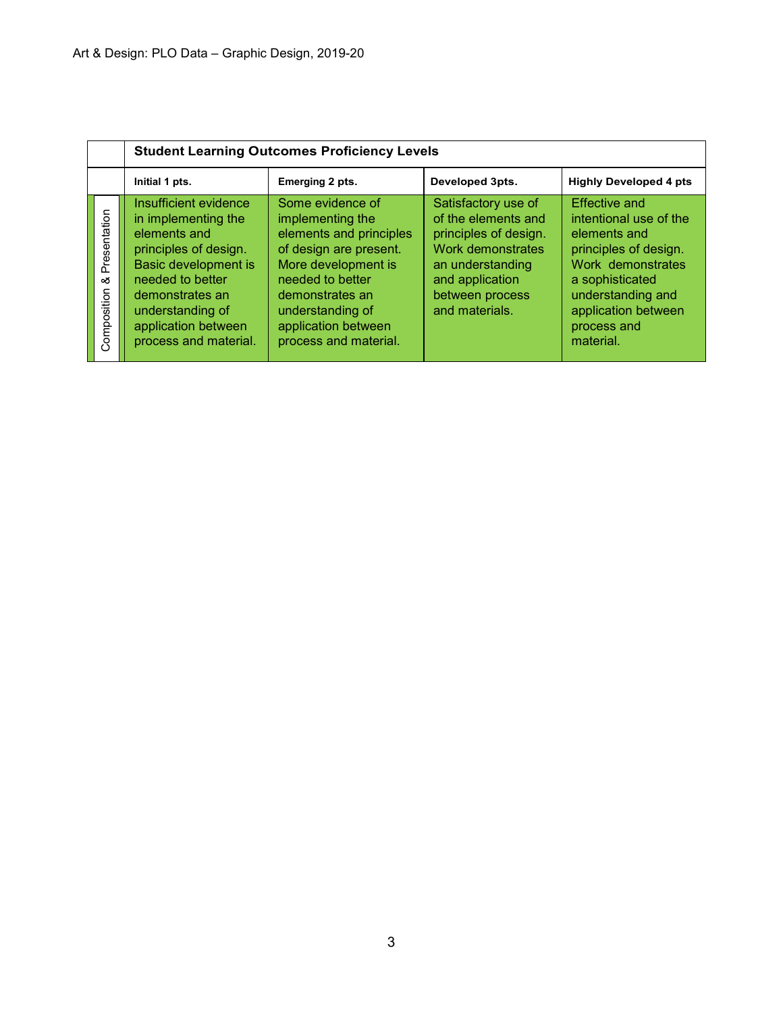|                                  | <b>Student Learning Outcomes Proficiency Levels</b>                                                                                                                                                                             |                                                                                                                                                                                                                             |                                                                                                                                                                      |                                                                                                                                                                                                         |  |  |  |  |  |  |
|----------------------------------|---------------------------------------------------------------------------------------------------------------------------------------------------------------------------------------------------------------------------------|-----------------------------------------------------------------------------------------------------------------------------------------------------------------------------------------------------------------------------|----------------------------------------------------------------------------------------------------------------------------------------------------------------------|---------------------------------------------------------------------------------------------------------------------------------------------------------------------------------------------------------|--|--|--|--|--|--|
|                                  | Initial 1 pts.                                                                                                                                                                                                                  | Emerging 2 pts.                                                                                                                                                                                                             | Developed 3pts.                                                                                                                                                      | <b>Highly Developed 4 pts</b>                                                                                                                                                                           |  |  |  |  |  |  |
| Presentation<br>య<br>Composition | Insufficient evidence<br>in implementing the<br>elements and<br>principles of design.<br><b>Basic development is</b><br>needed to better<br>demonstrates an<br>understanding of<br>application between<br>process and material. | Some evidence of<br>implementing the<br>elements and principles<br>of design are present.<br>More development is<br>needed to better<br>demonstrates an<br>understanding of<br>application between<br>process and material. | Satisfactory use of<br>of the elements and<br>principles of design.<br>Work demonstrates<br>an understanding<br>and application<br>between process<br>and materials. | <b>Effective and</b><br>intentional use of the<br>elements and<br>principles of design.<br>Work demonstrates<br>a sophisticated<br>understanding and<br>application between<br>process and<br>material. |  |  |  |  |  |  |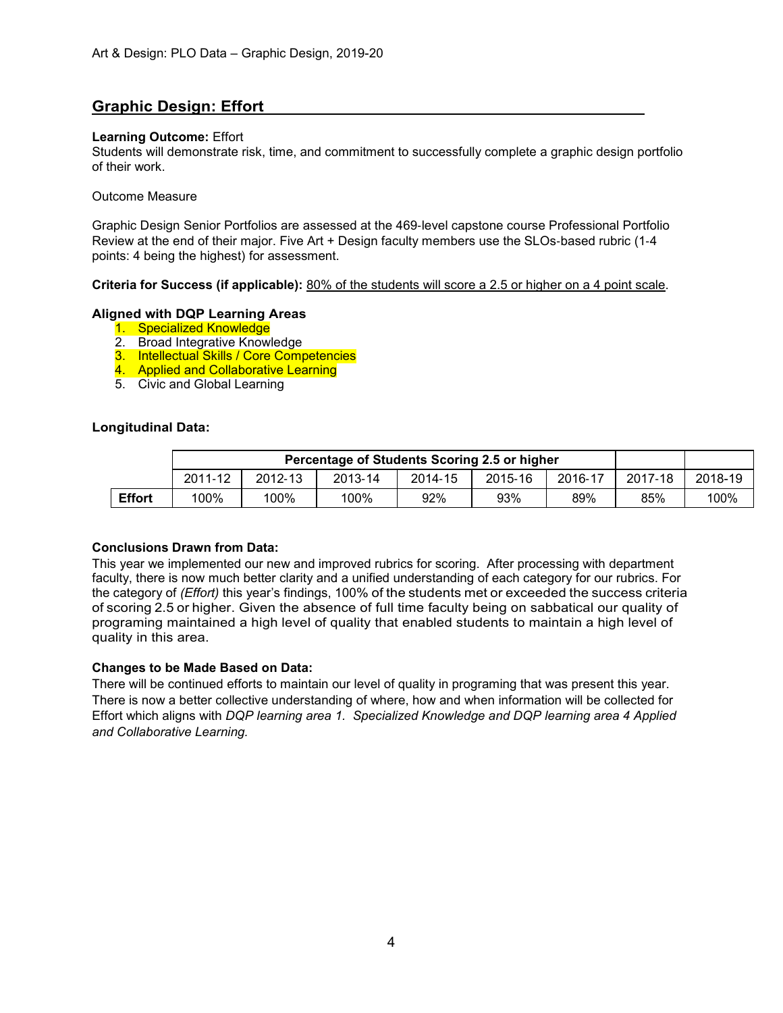# **Graphic Design: Effort**

### **Learning Outcome:** Effort

Students will demonstrate risk, time, and commitment to successfully complete a graphic design portfolio of their work.

#### Outcome Measure

Graphic Design Senior Portfolios are assessed at the 469‐level capstone course Professional Portfolio Review at the end of their major. Five Art + Design faculty members use the SLOs‐based rubric (1‐4 points: 4 being the highest) for assessment.

#### **Criteria for Success (if applicable):** 80% of the students will score a 2.5 or higher on a 4 point scale.

## **Aligned with DQP Learning Areas**

- 1. Specialized Knowledge
- 2. Broad Integrative Knowledge
- 3. Intellectual Skills / Core Competencies
- 4. Applied and Collaborative Learning
- 5. Civic and Global Learning

## **Longitudinal Data:**

|               | 2011-12 | 2012-13 | 2013-14 | 2014-15 | 2015-16 | 2016-17 | 2017-18 | 2018-19 |
|---------------|---------|---------|---------|---------|---------|---------|---------|---------|
| <b>Effort</b> | 100%    | 100%    | 100%    | 92%     | 93%     | 89%     | 85%     | 100%    |

#### **Conclusions Drawn from Data:**

This year we implemented our new and improved rubrics for scoring. After processing with department faculty, there is now much better clarity and a unified understanding of each category for our rubrics. For the category of *(Effort)* this year's findings, 100% of the students met or exceeded the success criteria of scoring 2.5 or higher. Given the absence of full time faculty being on sabbatical our quality of programing maintained a high level of quality that enabled students to maintain a high level of quality in this area.

#### **Changes to be Made Based on Data:**

There will be continued efforts to maintain our level of quality in programing that was present this year. There is now a better collective understanding of where, how and when information will be collected for Effort which aligns with *DQP learning area 1. Specialized Knowledge and DQP learning area 4 Applied and Collaborative Learning.*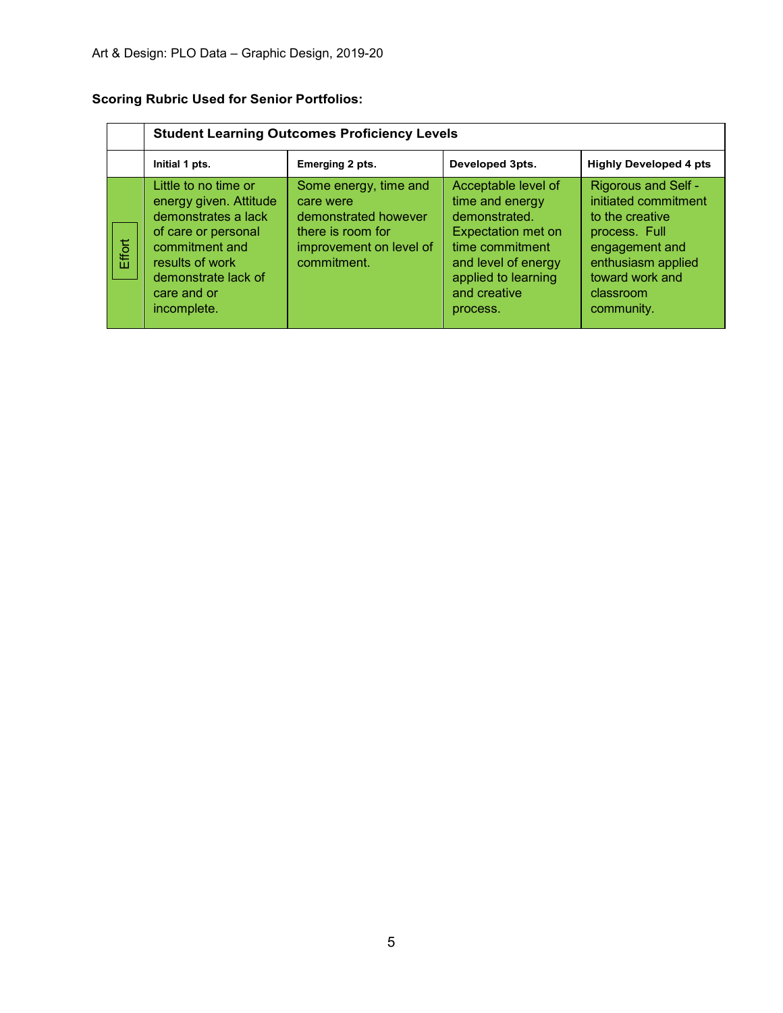# **Scoring Rubric Used for Senior Portfolios:**

|        | <b>Student Learning Outcomes Proficiency Levels</b>                                                                                                                                    |                                                                                                                           |                                                                                                                                                                                   |                                                                                                                                                                              |  |  |  |  |  |
|--------|----------------------------------------------------------------------------------------------------------------------------------------------------------------------------------------|---------------------------------------------------------------------------------------------------------------------------|-----------------------------------------------------------------------------------------------------------------------------------------------------------------------------------|------------------------------------------------------------------------------------------------------------------------------------------------------------------------------|--|--|--|--|--|
|        | Initial 1 pts.                                                                                                                                                                         | Emerging 2 pts.                                                                                                           | Developed 3pts.                                                                                                                                                                   | <b>Highly Developed 4 pts</b>                                                                                                                                                |  |  |  |  |  |
| Effort | Little to no time or<br>energy given. Attitude<br>demonstrates a lack<br>of care or personal<br>commitment and<br>results of work<br>demonstrate lack of<br>care and or<br>incomplete. | Some energy, time and<br>care were<br>demonstrated however<br>there is room for<br>improvement on level of<br>commitment. | Acceptable level of<br>time and energy<br>demonstrated.<br><b>Expectation met on</b><br>time commitment<br>and level of energy<br>applied to learning<br>and creative<br>process. | <b>Rigorous and Self -</b><br>initiated commitment<br>to the creative<br>process. Full<br>engagement and<br>enthusiasm applied<br>toward work and<br>classroom<br>community. |  |  |  |  |  |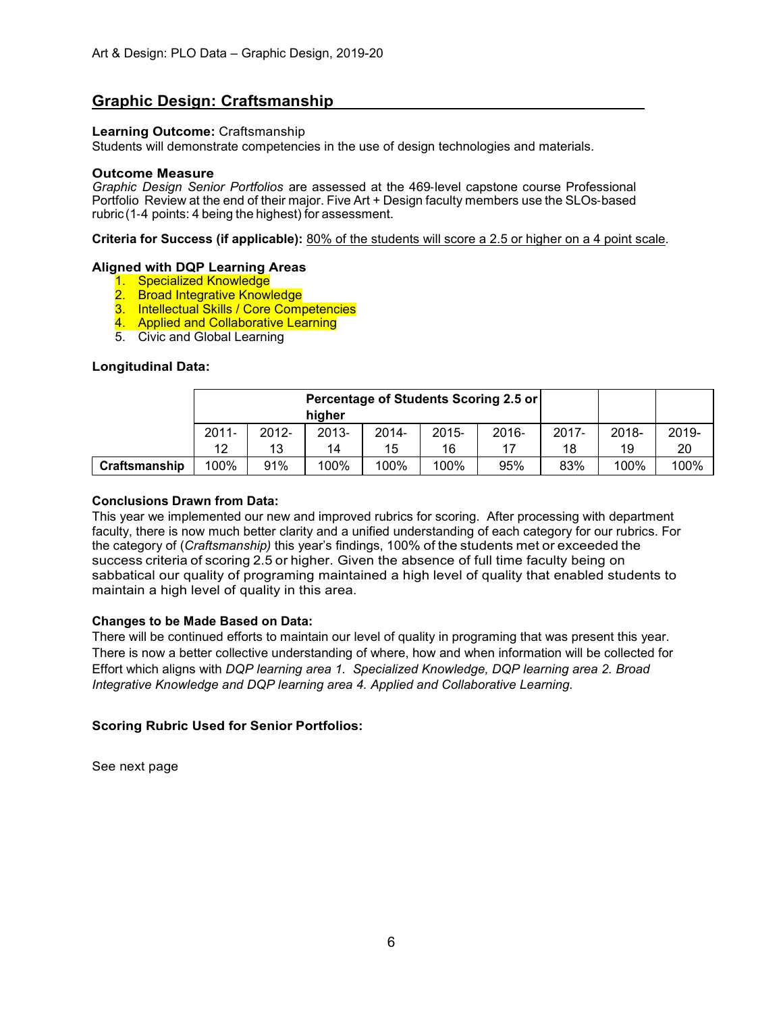# **Graphic Design: Craftsmanship**

### **Learning Outcome:** Craftsmanship

Students will demonstrate competencies in the use of design technologies and materials.

#### **Outcome Measure**

*Graphic Design Senior Portfolios* are assessed at the 469‐level capstone course Professional Portfolio Review at the end of their major. Five Art + Design faculty members use the SLOs‐based rubric (1‐4 points: 4 being the highest) for assessment.

**Criteria for Success (if applicable):** 80% of the students will score a 2.5 or higher on a 4 point scale.

## **Aligned with DQP Learning Areas**

- 1. Specialized Knowledge
- 2. Broad Integrative Knowledge
- 3. Intellectual Skills / Core Competencies
- 4. Applied and Collaborative Learning
- 5. Civic and Global Learning

## **Longitudinal Data:**

|               | Percentage of Students Scoring 2.5 or<br>higher |          |          |          |          |          |          |       |       |
|---------------|-------------------------------------------------|----------|----------|----------|----------|----------|----------|-------|-------|
|               | $2011 -$                                        | $2012 -$ | $2013 -$ | $2014 -$ | $2015 -$ | $2016 -$ | $2017 -$ | 2018- | 2019- |
|               | 12                                              | 13       | 14       | 15       | 16       |          | 18       | 19    | 20    |
| Craftsmanship | 100%                                            | 91%      | 100%     | 100%     | 100%     | 95%      | 83%      | 100%  | 100%  |

### **Conclusions Drawn from Data:**

This year we implemented our new and improved rubrics for scoring. After processing with department faculty, there is now much better clarity and a unified understanding of each category for our rubrics. For the category of (*Craftsmanship)* this year's findings, 100% of the students met or exceeded the success criteria of scoring 2.5 or higher. Given the absence of full time faculty being on sabbatical our quality of programing maintained a high level of quality that enabled students to maintain a high level of quality in this area.

## **Changes to be Made Based on Data:**

There will be continued efforts to maintain our level of quality in programing that was present this year. There is now a better collective understanding of where, how and when information will be collected for Effort which aligns with *DQP learning area 1. Specialized Knowledge, DQP learning area 2. Broad Integrative Knowledge and DQP learning area 4. Applied and Collaborative Learning.*

## **Scoring Rubric Used for Senior Portfolios:**

See next page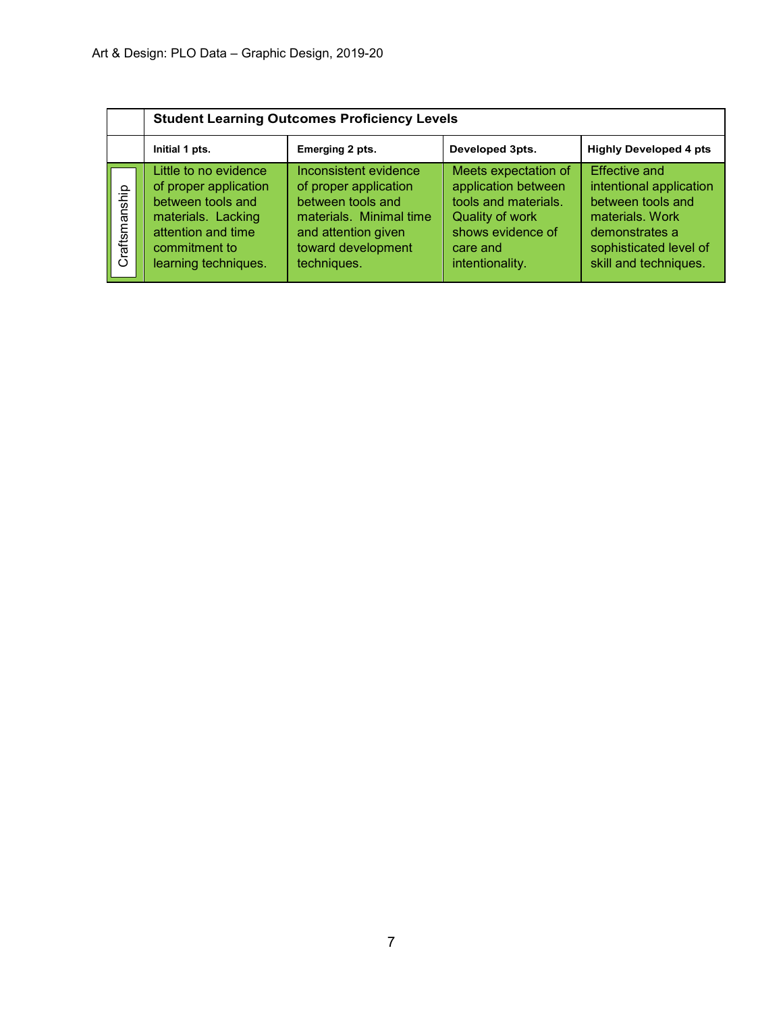|               |                                                                                                                                                          | <b>Student Learning Outcomes Proficiency Levels</b>                                                                                                        |                                                                                                                                            |                                                                                                                                                              |  |  |  |  |  |  |  |
|---------------|----------------------------------------------------------------------------------------------------------------------------------------------------------|------------------------------------------------------------------------------------------------------------------------------------------------------------|--------------------------------------------------------------------------------------------------------------------------------------------|--------------------------------------------------------------------------------------------------------------------------------------------------------------|--|--|--|--|--|--|--|
|               | Initial 1 pts.                                                                                                                                           | Emerging 2 pts.                                                                                                                                            | Developed 3pts.                                                                                                                            | <b>Highly Developed 4 pts</b>                                                                                                                                |  |  |  |  |  |  |  |
| Craftsmanship | Little to no evidence<br>of proper application<br>between tools and<br>materials. Lacking<br>attention and time<br>commitment to<br>learning techniques. | Inconsistent evidence<br>of proper application<br>between tools and<br>materials. Minimal time<br>and attention given<br>toward development<br>techniques. | Meets expectation of<br>application between<br>tools and materials.<br>Quality of work<br>shows evidence of<br>care and<br>intentionality. | <b>Effective and</b><br>intentional application<br>between tools and<br>materials, Work<br>demonstrates a<br>sophisticated level of<br>skill and techniques. |  |  |  |  |  |  |  |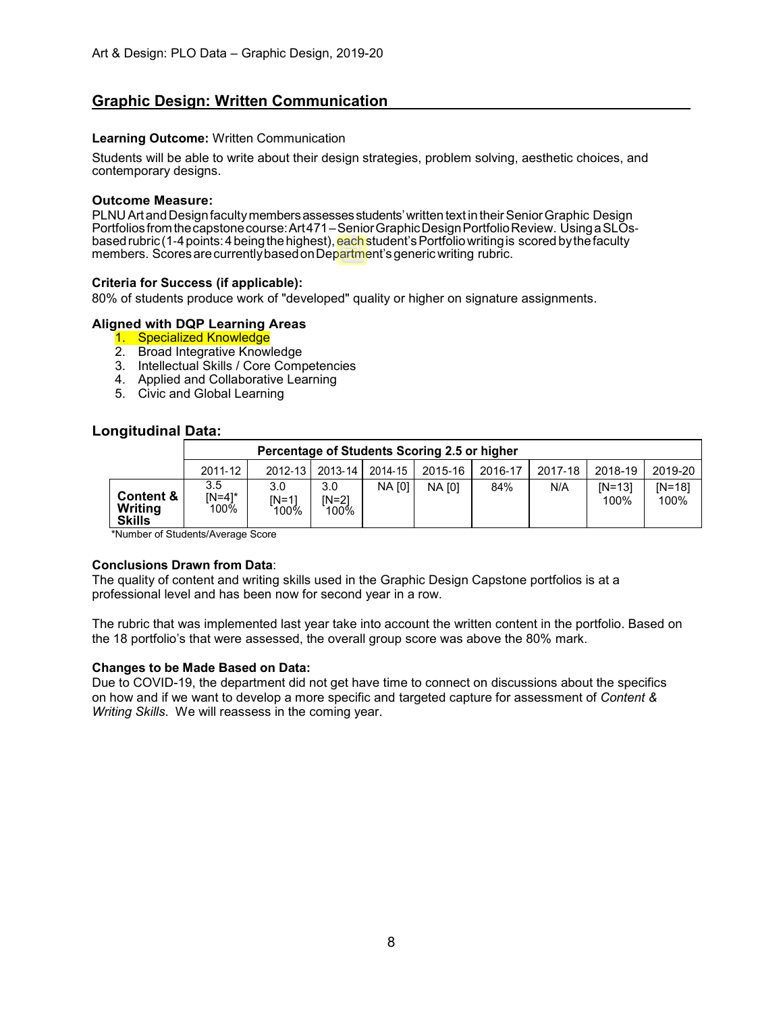# **Graphic Design: Written Communication**

## **Learning Outcome:** Written Communication

Students will be able to write about their design strategies, problem solving, aesthetic choices, and contemporary designs.

### **Outcome Measure:**

PLNU Art and Design faculty members assesses students' written text in their Senior Graphic Design Portfolios from the capstone course: Art471–Senior Graphic Design Portfolio Review. Using a SLOsbased rubric (1-4 points: 4 being the highest), each student's Portfolio writing is scored by the faculty members. Scores are currently based on Department's generic writing rubric.

## **Criteria for Success (if applicable):**

80% of students produce work of "developed" quality or higher on signature assignments.

## **Aligned with DQP Learning Areas**

- 1. Specialized Knowledge
- 2. Broad Integrative Knowledge
- 3. Intellectual Skills / Core Competencies
- 4. Applied and Collaborative Learning
- 5. Civic and Global Learning

## **Longitudinal Data:**

|                                                  |                       | Percentage of Students Scoring 2.5 or higher |                      |               |               |         |         |                    |                    |
|--------------------------------------------------|-----------------------|----------------------------------------------|----------------------|---------------|---------------|---------|---------|--------------------|--------------------|
|                                                  | 2011-12               |                                              | 2012-13   2013-14    | 2014-15       | 2015-16       | 2016-17 | 2017-18 | 2018-19            | 2019-20            |
| <b>Content &amp;</b><br>Writing<br><b>Skills</b> | 3.5<br>IN=41*<br>100% | 3.0<br>IN=11<br>100%                         | 3.0<br>IN=21<br>100% | <b>NA [0]</b> | <b>NA [0]</b> | 84%     | N/A     | $IN = 131$<br>100% | $IN = 181$<br>100% |

\*Number of Students/Average Score

#### **Conclusions Drawn from Data**:

The quality of content and writing skills used in the Graphic Design Capstone portfolios is at a professional level and has been now for second year in a row.

The rubric that was implemented last year take into account the written content in the portfolio. Based on the 18 portfolio's that were assessed, the overall group score was above the 80% mark.

#### **Changes to be Made Based on Data:**

Due to COVID-19, the department did not get have time to connect on discussions about the specifics on how and if we want to develop a more specific and targeted capture for assessment of *Content & Writing Skills*. We will reassess in the coming year.